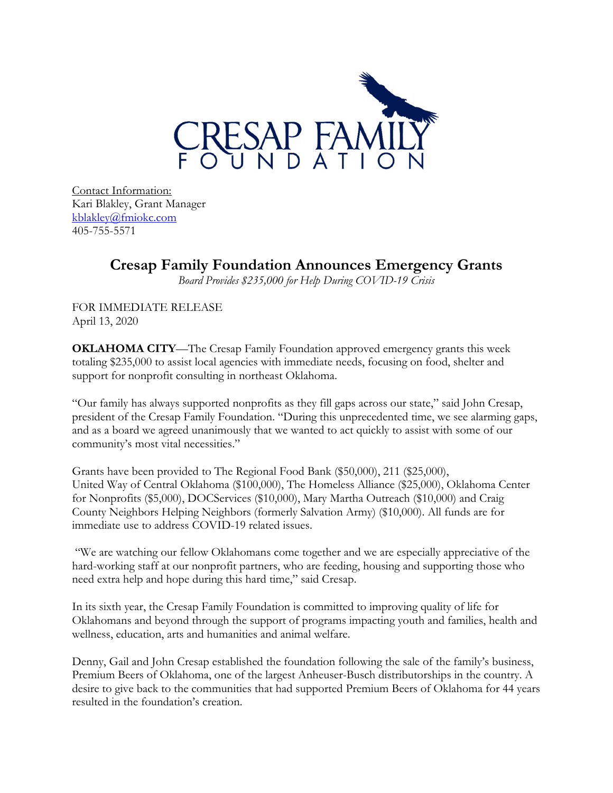

Contact Information: kblakley@fmiokc.com 405-755-5571

## **Cresap Family Foundation Announces Emergency Grants**

*Board Provides \$235,000 for Help During COVID-19 Crisis* 

FOR IMMEDIATE RELEASE April 13, 2020

**OKLAHOMA CITY**—The Cresap Family Foundation approved emergency grants this week totaling \$235,000 to assist local agencies with immediate needs, focusing on food, shelter and support for nonprofit consulting in northeast Oklahoma.

"Our family has always supported nonprofits as they fill gaps across our state," said John Cresap, president of the Cresap Family Foundation. "During this unprecedented time, we see alarming gaps, and as a board we agreed unanimously that we wanted to act quickly to assist with some of our community's most vital necessities."

Grants have been provided to The Regional Food Bank (\$50,000), 211 (\$25,000), United Way of Central Oklahoma (\$100,000), The Homeless Alliance (\$25,000), Oklahoma Center for Nonprofits (\$5,000), DOCServices (\$10,000), Mary Martha Outreach (\$10,000) and Craig County Neighbors Helping Neighbors (formerly Salvation Army) (\$10,000). All funds are for immediate use to address COVID-19 related issues.

 "We are watching our fellow Oklahomans come together and we are especially appreciative of the hard-working staff at our nonprofit partners, who are feeding, housing and supporting those who need extra help and hope during this hard time," said Cresap.

In its sixth year, the Cresap Family Foundation is committed to improving quality of life for Oklahomans and beyond through the support of programs impacting youth and families, health and wellness, education, arts and humanities and animal welfare.

Denny, Gail and John Cresap established the foundation following the sale of the family's business, Premium Beers of Oklahoma, one of the largest Anheuser-Busch distributorships in the country. A desire to give back to the communities that had supported Premium Beers of Oklahoma for 44 years resulted in the foundation's creation.